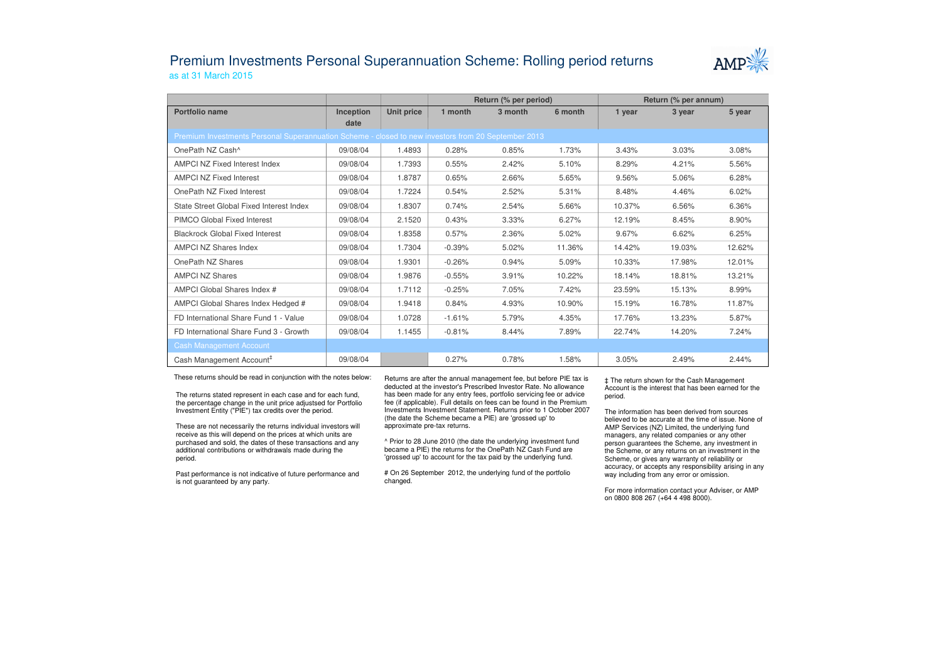## Premium Investments Personal Superannuation Scheme: Rolling period returnsas at 31 March 2015



|                                                                                                     |                   |            | Return (% per period) |         |         | Return (% per annum) |        |        |  |  |  |  |
|-----------------------------------------------------------------------------------------------------|-------------------|------------|-----------------------|---------|---------|----------------------|--------|--------|--|--|--|--|
| Portfolio name                                                                                      | Inception<br>date | Unit price | 1 month               | 3 month | 6 month | 1 year               | 3 year | 5 year |  |  |  |  |
| Premium Investments Personal Superannuation Scheme - closed to new investors from 20 September 2013 |                   |            |                       |         |         |                      |        |        |  |  |  |  |
| OnePath NZ Cash <sup>^</sup>                                                                        | 09/08/04          | 1.4893     | 0.28%                 | 0.85%   | 1.73%   | 3.43%                | 3.03%  | 3.08%  |  |  |  |  |
| AMPCI NZ Fixed Interest Index                                                                       | 09/08/04          | 1.7393     | 0.55%                 | 2.42%   | 5.10%   | 8.29%                | 4.21%  | 5.56%  |  |  |  |  |
| <b>AMPCI NZ Fixed Interest</b>                                                                      | 09/08/04          | 1.8787     | 0.65%                 | 2.66%   | 5.65%   | 9.56%                | 5.06%  | 6.28%  |  |  |  |  |
| OnePath NZ Fixed Interest                                                                           | 09/08/04          | 1.7224     | 0.54%                 | 2.52%   | 5.31%   | 8.48%                | 4.46%  | 6.02%  |  |  |  |  |
| State Street Global Fixed Interest Index                                                            | 09/08/04          | 1.8307     | 0.74%                 | 2.54%   | 5.66%   | 10.37%               | 6.56%  | 6.36%  |  |  |  |  |
| PIMCO Global Fixed Interest                                                                         | 09/08/04          | 2.1520     | 0.43%                 | 3.33%   | 6.27%   | 12.19%               | 8.45%  | 8.90%  |  |  |  |  |
| <b>Blackrock Global Fixed Interest</b>                                                              | 09/08/04          | 1.8358     | 0.57%                 | 2.36%   | 5.02%   | 9.67%                | 6.62%  | 6.25%  |  |  |  |  |
| <b>AMPCI NZ Shares Index</b>                                                                        | 09/08/04          | 1.7304     | $-0.39%$              | 5.02%   | 11.36%  | 14.42%               | 19.03% | 12.62% |  |  |  |  |
| OnePath NZ Shares                                                                                   | 09/08/04          | 1.9301     | $-0.26%$              | 0.94%   | 5.09%   | 10.33%               | 17.98% | 12.01% |  |  |  |  |
| <b>AMPCI NZ Shares</b>                                                                              | 09/08/04          | 1.9876     | $-0.55%$              | 3.91%   | 10.22%  | 18.14%               | 18.81% | 13.21% |  |  |  |  |
| AMPCI Global Shares Index #                                                                         | 09/08/04          | 1.7112     | $-0.25%$              | 7.05%   | 7.42%   | 23.59%               | 15.13% | 8.99%  |  |  |  |  |
| AMPCI Global Shares Index Hedged #                                                                  | 09/08/04          | 1.9418     | 0.84%                 | 4.93%   | 10.90%  | 15.19%               | 16.78% | 11.87% |  |  |  |  |
| FD International Share Fund 1 - Value                                                               | 09/08/04          | 1.0728     | $-1.61%$              | 5.79%   | 4.35%   | 17.76%               | 13.23% | 5.87%  |  |  |  |  |
| FD International Share Fund 3 - Growth                                                              | 09/08/04          | 1.1455     | $-0.81%$              | 8.44%   | 7.89%   | 22.74%               | 14.20% | 7.24%  |  |  |  |  |
| <b>Cash Management Account</b>                                                                      |                   |            |                       |         |         |                      |        |        |  |  |  |  |
| Cash Management Account <sup>#</sup>                                                                | 09/08/04          |            | 0.27%                 | 0.78%   | 1.58%   | 3.05%                | 2.49%  | 2.44%  |  |  |  |  |

These returns should be read in conjunction with the notes below:

The returns stated represent in each case and for each fund, the percentage change in the unit price adjustsed for Portfolio Investment Entity ("PIE") tax credits over the period.

These are not necessarily the returns individual investors will receive as this will depend on the prices at which units are purchased and sold, the dates of these transactions and any additional contributions or withdrawals made during the period.

Past performance is not indicative of future performance and is not guaranteed by any party.

Returns are after the annual management fee, but before PIE tax is deducted at the investor's Prescribed Investor Rate. No allowance has been made for any entry fees, portfolio servicing fee or advice fee (if applicable). Full details on fees can be found in the Premium Investments Investment Statement. Returns prior to 1 October 2007 (the date the Scheme became a PIE) are 'grossed up' to approximate pre-tax returns.

^ Prior to 28 June 2010 (the date the underlying investment fund became a PIE) the returns for the OnePath NZ Cash Fund are 'grossed up' to account for the tax paid by the underlying fund.

# On 26 September 2012, the underlying fund of the portfolio changed.

‡ The return shown for the Cash Management Account is the interest that has been earned for the period.

The information has been derived from sources believed to be accurate at the time of issue. None of AMP Services (NZ) Limited, the underlying fund managers, any related companies or any other person guarantees the Scheme, any investment in the Scheme, or any returns on an investment in the Scheme, or gives any warranty of reliability or accuracy, or accepts any responsibility arising in any way including from any error or omission.

For more information contact your Adviser, or AMP on 0800 808 267 (+64 4 498 8000).